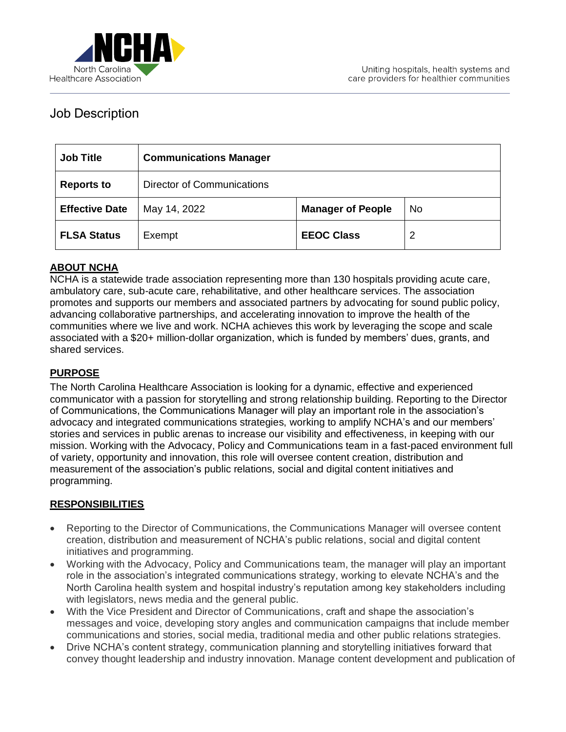

# Job Description

| <b>Job Title</b>      | <b>Communications Manager</b>     |                          |           |
|-----------------------|-----------------------------------|--------------------------|-----------|
| <b>Reports to</b>     | <b>Director of Communications</b> |                          |           |
| <b>Effective Date</b> | May 14, 2022                      | <b>Manager of People</b> | <b>No</b> |
| <b>FLSA Status</b>    | Exempt                            | <b>EEOC Class</b>        | 2         |

### **ABOUT NCHA**

NCHA is a statewide trade association representing more than 130 hospitals providing acute care, ambulatory care, sub-acute care, rehabilitative, and other healthcare services. The association promotes and supports our members and associated partners by advocating for sound public policy, advancing collaborative partnerships, and accelerating innovation to improve the health of the communities where we live and work. NCHA achieves this work by leveraging the scope and scale associated with a \$20+ million-dollar organization, which is funded by members' dues, grants, and shared services.

### **PURPOSE**

The North Carolina Healthcare Association is looking for a dynamic, effective and experienced communicator with a passion for storytelling and strong relationship building. Reporting to the Director of Communications, the Communications Manager will play an important role in the association's advocacy and integrated communications strategies, working to amplify NCHA's and our members' stories and services in public arenas to increase our visibility and effectiveness, in keeping with our mission. Working with the Advocacy, Policy and Communications team in a fast-paced environment full of variety, opportunity and innovation, this role will oversee content creation, distribution and measurement of the association's public relations, social and digital content initiatives and programming.

#### **RESPONSIBILITIES**

- Reporting to the Director of Communications, the Communications Manager will oversee content creation, distribution and measurement of NCHA's public relations, social and digital content initiatives and programming.
- Working with the Advocacy, Policy and Communications team, the manager will play an important role in the association's integrated communications strategy, working to elevate NCHA's and the North Carolina health system and hospital industry's reputation among key stakeholders including with legislators, news media and the general public.
- With the Vice President and Director of Communications, craft and shape the association's messages and voice, developing story angles and communication campaigns that include member communications and stories, social media, traditional media and other public relations strategies.
- Drive NCHA's content strategy, communication planning and storytelling initiatives forward that convey thought leadership and industry innovation. Manage content development and publication of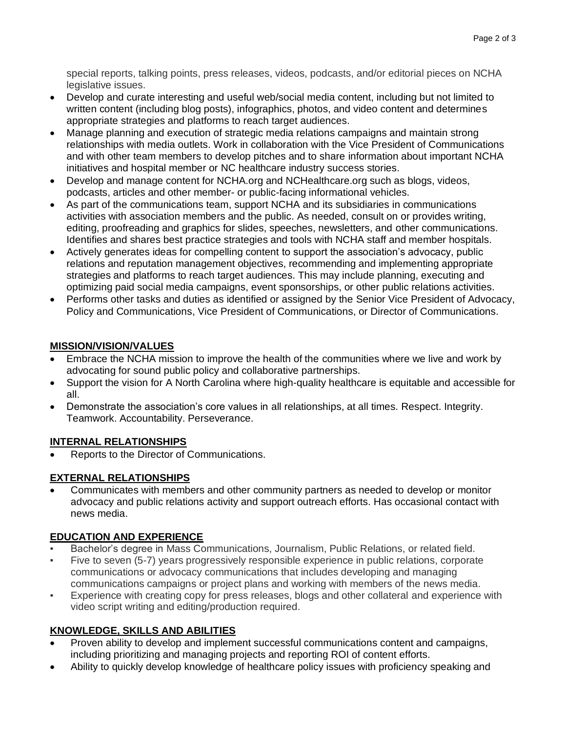special reports, talking points, press releases, videos, podcasts, and/or editorial pieces on NCHA legislative issues.

- Develop and curate interesting and useful web/social media content, including but not limited to written content (including blog posts), infographics, photos, and video content and determines appropriate strategies and platforms to reach target audiences.
- Manage planning and execution of strategic media relations campaigns and maintain strong relationships with media outlets. Work in collaboration with the Vice President of Communications and with other team members to develop pitches and to share information about important NCHA initiatives and hospital member or NC healthcare industry success stories.
- Develop and manage content for NCHA.org and NCHealthcare.org such as blogs, videos, podcasts, articles and other member- or public-facing informational vehicles.
- As part of the communications team, support NCHA and its subsidiaries in communications activities with association members and the public. As needed, consult on or provides writing, editing, proofreading and graphics for slides, speeches, newsletters, and other communications. Identifies and shares best practice strategies and tools with NCHA staff and member hospitals.
- Actively generates ideas for compelling content to support the association's advocacy, public relations and reputation management objectives, recommending and implementing appropriate strategies and platforms to reach target audiences. This may include planning, executing and optimizing paid social media campaigns, event sponsorships, or other public relations activities.
- Performs other tasks and duties as identified or assigned by the Senior Vice President of Advocacy, Policy and Communications, Vice President of Communications, or Director of Communications.

### **MISSION/VISION/VALUES**

- Embrace the NCHA mission to improve the health of the communities where we live and work by advocating for sound public policy and collaborative partnerships.
- Support the vision for A North Carolina where high-quality healthcare is equitable and accessible for all.
- Demonstrate the association's core values in all relationships, at all times. Respect. Integrity. Teamwork. Accountability. Perseverance.

### **INTERNAL RELATIONSHIPS**

• Reports to the Director of Communications.

## **EXTERNAL RELATIONSHIPS**

• Communicates with members and other community partners as needed to develop or monitor advocacy and public relations activity and support outreach efforts. Has occasional contact with news media.

## **EDUCATION AND EXPERIENCE**

- Bachelor's degree in Mass Communications, Journalism, Public Relations, or related field.
- Five to seven (5-7) years progressively responsible experience in public relations, corporate communications or advocacy communications that includes developing and managing communications campaigns or project plans and working with members of the news media.
- Experience with creating copy for press releases, blogs and other collateral and experience with video script writing and editing/production required.

## **KNOWLEDGE, SKILLS AND ABILITIES**

- Proven ability to develop and implement successful communications content and campaigns, including prioritizing and managing projects and reporting ROI of content efforts.
- Ability to quickly develop knowledge of healthcare policy issues with proficiency speaking and